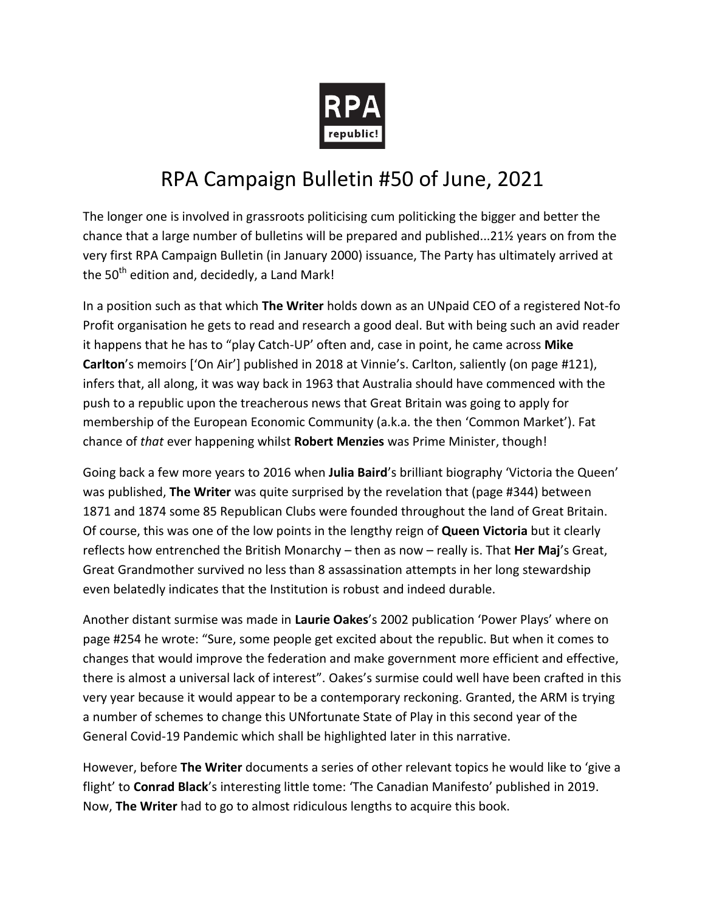

## RPA Campaign Bulletin #50 of June, 2021

The longer one is involved in grassroots politicising cum politicking the bigger and better the chance that a large number of bulletins will be prepared and published...21½ years on from the very first RPA Campaign Bulletin (in January 2000) issuance, The Party has ultimately arrived at the  $50<sup>th</sup>$  edition and, decidedly, a Land Mark!

In a position such as that which **The Writer** holds down as an UNpaid CEO of a registered Not-fo Profit organisation he gets to read and research a good deal. But with being such an avid reader it happens that he has to "play Catch-UP' often and, case in point, he came across **Mike Carlton**'s memoirs ['On Air'] published in 2018 at Vinnie's. Carlton, saliently (on page #121), infers that, all along, it was way back in 1963 that Australia should have commenced with the push to a republic upon the treacherous news that Great Britain was going to apply for membership of the European Economic Community (a.k.a. the then 'Common Market'). Fat chance of *that* ever happening whilst **Robert Menzies** was Prime Minister, though!

Going back a few more years to 2016 when **Julia Baird**'s brilliant biography 'Victoria the Queen' was published, **The Writer** was quite surprised by the revelation that (page #344) between 1871 and 1874 some 85 Republican Clubs were founded throughout the land of Great Britain. Of course, this was one of the low points in the lengthy reign of **Queen Victoria** but it clearly reflects how entrenched the British Monarchy – then as now – really is. That **Her Maj**'s Great, Great Grandmother survived no less than 8 assassination attempts in her long stewardship even belatedly indicates that the Institution is robust and indeed durable.

Another distant surmise was made in **Laurie Oakes**'s 2002 publication 'Power Plays' where on page #254 he wrote: "Sure, some people get excited about the republic. But when it comes to changes that would improve the federation and make government more efficient and effective, there is almost a universal lack of interest". Oakes's surmise could well have been crafted in this very year because it would appear to be a contemporary reckoning. Granted, the ARM is trying a number of schemes to change this UNfortunate State of Play in this second year of the General Covid-19 Pandemic which shall be highlighted later in this narrative.

However, before **The Writer** documents a series of other relevant topics he would like to 'give a flight' to **Conrad Black**'s interesting little tome: 'The Canadian Manifesto' published in 2019. Now, **The Writer** had to go to almost ridiculous lengths to acquire this book.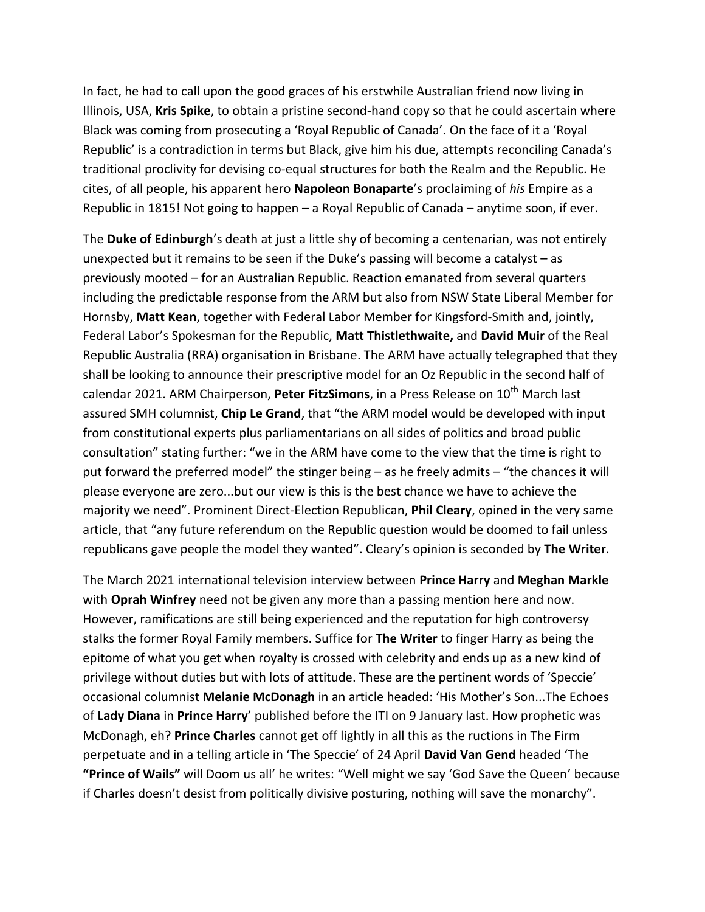In fact, he had to call upon the good graces of his erstwhile Australian friend now living in Illinois, USA, **Kris Spike**, to obtain a pristine second-hand copy so that he could ascertain where Black was coming from prosecuting a 'Royal Republic of Canada'. On the face of it a 'Royal Republic' is a contradiction in terms but Black, give him his due, attempts reconciling Canada's traditional proclivity for devising co-equal structures for both the Realm and the Republic. He cites, of all people, his apparent hero **Napoleon Bonaparte**'s proclaiming of *his* Empire as a Republic in 1815! Not going to happen – a Royal Republic of Canada – anytime soon, if ever.

The **Duke of Edinburgh**'s death at just a little shy of becoming a centenarian, was not entirely unexpected but it remains to be seen if the Duke's passing will become a catalyst – as previously mooted – for an Australian Republic. Reaction emanated from several quarters including the predictable response from the ARM but also from NSW State Liberal Member for Hornsby, **Matt Kean**, together with Federal Labor Member for Kingsford-Smith and, jointly, Federal Labor's Spokesman for the Republic, **Matt Thistlethwaite,** and **David Muir** of the Real Republic Australia (RRA) organisation in Brisbane. The ARM have actually telegraphed that they shall be looking to announce their prescriptive model for an Oz Republic in the second half of calendar 2021. ARM Chairperson, Peter FitzSimons, in a Press Release on 10<sup>th</sup> March last assured SMH columnist, **Chip Le Grand**, that "the ARM model would be developed with input from constitutional experts plus parliamentarians on all sides of politics and broad public consultation" stating further: "we in the ARM have come to the view that the time is right to put forward the preferred model" the stinger being – as he freely admits – "the chances it will please everyone are zero...but our view is this is the best chance we have to achieve the majority we need". Prominent Direct-Election Republican, **Phil Cleary**, opined in the very same article, that "any future referendum on the Republic question would be doomed to fail unless republicans gave people the model they wanted". Cleary's opinion is seconded by **The Writer**.

The March 2021 international television interview between **Prince Harry** and **Meghan Markle** with **Oprah Winfrey** need not be given any more than a passing mention here and now. However, ramifications are still being experienced and the reputation for high controversy stalks the former Royal Family members. Suffice for **The Writer** to finger Harry as being the epitome of what you get when royalty is crossed with celebrity and ends up as a new kind of privilege without duties but with lots of attitude. These are the pertinent words of 'Speccie' occasional columnist **Melanie McDonagh** in an article headed: 'His Mother's Son...The Echoes of **Lady Diana** in **Prince Harry**' published before the ITI on 9 January last. How prophetic was McDonagh, eh? **Prince Charles** cannot get off lightly in all this as the ructions in The Firm perpetuate and in a telling article in 'The Speccie' of 24 April **David Van Gend** headed 'The **"Prince of Wails"** will Doom us all' he writes: "Well might we say 'God Save the Queen' because if Charles doesn't desist from politically divisive posturing, nothing will save the monarchy".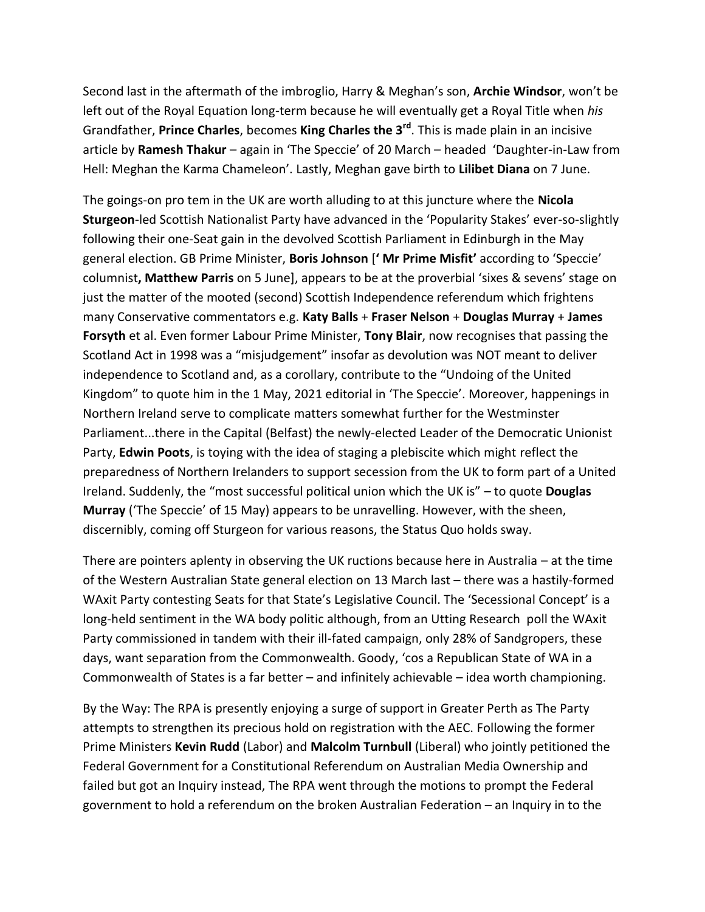Second last in the aftermath of the imbroglio, Harry & Meghan's son, **Archie Windsor**, won't be left out of the Royal Equation long-term because he will eventually get a Royal Title when *his* Grandfather, **Prince Charles**, becomes **King Charles the 3rd**. This is made plain in an incisive article by **Ramesh Thakur** – again in 'The Speccie' of 20 March – headed 'Daughter-in-Law from Hell: Meghan the Karma Chameleon'. Lastly, Meghan gave birth to **Lilibet Diana** on 7 June.

The goings-on pro tem in the UK are worth alluding to at this juncture where the **Nicola Sturgeon**-led Scottish Nationalist Party have advanced in the 'Popularity Stakes' ever-so-slightly following their one-Seat gain in the devolved Scottish Parliament in Edinburgh in the May general election. GB Prime Minister, **Boris Johnson** [**' Mr Prime Misfit'** according to 'Speccie' columnist**, Matthew Parris** on 5 June], appears to be at the proverbial 'sixes & sevens' stage on just the matter of the mooted (second) Scottish Independence referendum which frightens many Conservative commentators e.g. **Katy Balls** + **Fraser Nelson** + **Douglas Murray** + **James Forsyth** et al. Even former Labour Prime Minister, **Tony Blair**, now recognises that passing the Scotland Act in 1998 was a "misjudgement" insofar as devolution was NOT meant to deliver independence to Scotland and, as a corollary, contribute to the "Undoing of the United Kingdom" to quote him in the 1 May, 2021 editorial in 'The Speccie'. Moreover, happenings in Northern Ireland serve to complicate matters somewhat further for the Westminster Parliament...there in the Capital (Belfast) the newly-elected Leader of the Democratic Unionist Party, **Edwin Poots**, is toying with the idea of staging a plebiscite which might reflect the preparedness of Northern Irelanders to support secession from the UK to form part of a United Ireland. Suddenly, the "most successful political union which the UK is" – to quote **Douglas Murray** ('The Speccie' of 15 May) appears to be unravelling. However, with the sheen, discernibly, coming off Sturgeon for various reasons, the Status Quo holds sway.

There are pointers aplenty in observing the UK ructions because here in Australia – at the time of the Western Australian State general election on 13 March last – there was a hastily-formed WAxit Party contesting Seats for that State's Legislative Council. The 'Secessional Concept' is a long-held sentiment in the WA body politic although, from an Utting Research poll the WAxit Party commissioned in tandem with their ill-fated campaign, only 28% of Sandgropers, these days, want separation from the Commonwealth. Goody, 'cos a Republican State of WA in a Commonwealth of States is a far better – and infinitely achievable – idea worth championing.

By the Way: The RPA is presently enjoying a surge of support in Greater Perth as The Party attempts to strengthen its precious hold on registration with the AEC. Following the former Prime Ministers **Kevin Rudd** (Labor) and **Malcolm Turnbull** (Liberal) who jointly petitioned the Federal Government for a Constitutional Referendum on Australian Media Ownership and failed but got an Inquiry instead, The RPA went through the motions to prompt the Federal government to hold a referendum on the broken Australian Federation – an Inquiry in to the